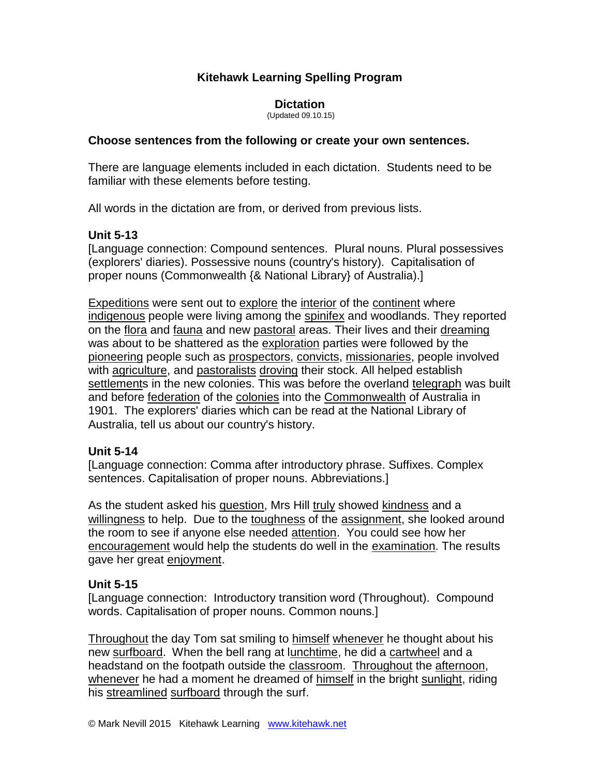# **Kitehawk Learning Spelling Program**

#### **Dictation**

(Updated 09.10.15)

#### **Choose sentences from the following or create your own sentences.**

There are language elements included in each dictation. Students need to be familiar with these elements before testing.

All words in the dictation are from, or derived from previous lists.

### **Unit 5-13**

[Language connection: Compound sentences. Plural nouns. Plural possessives (explorers' diaries). Possessive nouns (country's history). Capitalisation of proper nouns (Commonwealth {& National Library} of Australia).]

Expeditions were sent out to explore the interior of the continent where indigenous people were living among the spinifex and woodlands. They reported on the flora and fauna and new pastoral areas. Their lives and their dreaming was about to be shattered as the exploration parties were followed by the pioneering people such as prospectors, convicts, missionaries, people involved with agriculture, and pastoralists droving their stock. All helped establish settlements in the new colonies. This was before the overland telegraph was built and before federation of the colonies into the Commonwealth of Australia in 1901. The explorers' diaries which can be read at the National Library of Australia, tell us about our country's history.

## **Unit 5-14**

[Language connection: Comma after introductory phrase. Suffixes. Complex sentences. Capitalisation of proper nouns. Abbreviations.]

As the student asked his question, Mrs Hill truly showed kindness and a willingness to help. Due to the toughness of the assignment, she looked around the room to see if anyone else needed attention. You could see how her encouragement would help the students do well in the examination. The results gave her great enjoyment.

### **Unit 5-15**

[Language connection: Introductory transition word (Throughout). Compound words. Capitalisation of proper nouns. Common nouns.]

Throughout the day Tom sat smiling to himself whenever he thought about his new surfboard. When the bell rang at lunchtime, he did a cartwheel and a headstand on the footpath outside the classroom. Throughout the afternoon, whenever he had a moment he dreamed of himself in the bright sunlight, riding his streamlined surfboard through the surf.